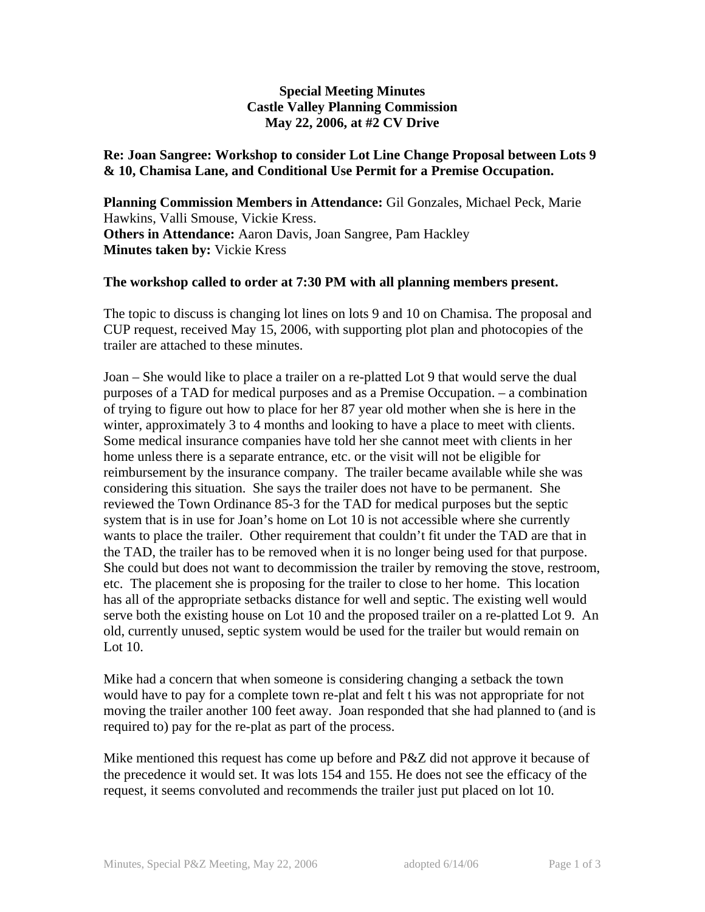## **Special Meeting Minutes Castle Valley Planning Commission May 22, 2006, at #2 CV Drive**

## **Re: Joan Sangree: Workshop to consider Lot Line Change Proposal between Lots 9 & 10, Chamisa Lane, and Conditional Use Permit for a Premise Occupation.**

**Planning Commission Members in Attendance:** Gil Gonzales, Michael Peck, Marie Hawkins, Valli Smouse, Vickie Kress. **Others in Attendance:** Aaron Davis, Joan Sangree, Pam Hackley **Minutes taken by:** Vickie Kress

## **The workshop called to order at 7:30 PM with all planning members present.**

The topic to discuss is changing lot lines on lots 9 and 10 on Chamisa. The proposal and CUP request, received May 15, 2006, with supporting plot plan and photocopies of the trailer are attached to these minutes.

Joan – She would like to place a trailer on a re-platted Lot 9 that would serve the dual purposes of a TAD for medical purposes and as a Premise Occupation. – a combination of trying to figure out how to place for her 87 year old mother when she is here in the winter, approximately 3 to 4 months and looking to have a place to meet with clients. Some medical insurance companies have told her she cannot meet with clients in her home unless there is a separate entrance, etc. or the visit will not be eligible for reimbursement by the insurance company. The trailer became available while she was considering this situation. She says the trailer does not have to be permanent. She reviewed the Town Ordinance 85-3 for the TAD for medical purposes but the septic system that is in use for Joan's home on Lot 10 is not accessible where she currently wants to place the trailer. Other requirement that couldn't fit under the TAD are that in the TAD, the trailer has to be removed when it is no longer being used for that purpose. She could but does not want to decommission the trailer by removing the stove, restroom, etc. The placement she is proposing for the trailer to close to her home. This location has all of the appropriate setbacks distance for well and septic. The existing well would serve both the existing house on Lot 10 and the proposed trailer on a re-platted Lot 9. An old, currently unused, septic system would be used for the trailer but would remain on Lot 10.

Mike had a concern that when someone is considering changing a setback the town would have to pay for a complete town re-plat and felt t his was not appropriate for not moving the trailer another 100 feet away. Joan responded that she had planned to (and is required to) pay for the re-plat as part of the process.

Mike mentioned this request has come up before and P&Z did not approve it because of the precedence it would set. It was lots 154 and 155. He does not see the efficacy of the request, it seems convoluted and recommends the trailer just put placed on lot 10.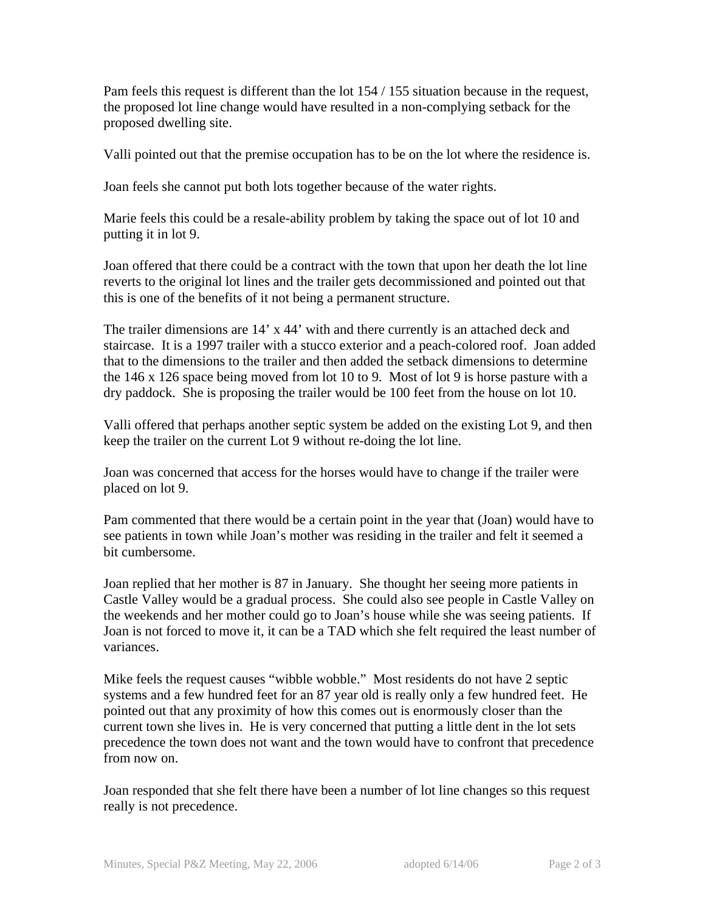Pam feels this request is different than the lot 154 / 155 situation because in the request, the proposed lot line change would have resulted in a non-complying setback for the proposed dwelling site.

Valli pointed out that the premise occupation has to be on the lot where the residence is.

Joan feels she cannot put both lots together because of the water rights.

Marie feels this could be a resale-ability problem by taking the space out of lot 10 and putting it in lot 9.

Joan offered that there could be a contract with the town that upon her death the lot line reverts to the original lot lines and the trailer gets decommissioned and pointed out that this is one of the benefits of it not being a permanent structure.

The trailer dimensions are 14' x 44' with and there currently is an attached deck and staircase. It is a 1997 trailer with a stucco exterior and a peach-colored roof. Joan added that to the dimensions to the trailer and then added the setback dimensions to determine the 146 x 126 space being moved from lot 10 to 9. Most of lot 9 is horse pasture with a dry paddock. She is proposing the trailer would be 100 feet from the house on lot 10.

Valli offered that perhaps another septic system be added on the existing Lot 9, and then keep the trailer on the current Lot 9 without re-doing the lot line.

Joan was concerned that access for the horses would have to change if the trailer were placed on lot 9.

Pam commented that there would be a certain point in the year that (Joan) would have to see patients in town while Joan's mother was residing in the trailer and felt it seemed a bit cumbersome.

Joan replied that her mother is 87 in January. She thought her seeing more patients in Castle Valley would be a gradual process. She could also see people in Castle Valley on the weekends and her mother could go to Joan's house while she was seeing patients. If Joan is not forced to move it, it can be a TAD which she felt required the least number of variances.

Mike feels the request causes "wibble wobble." Most residents do not have 2 septic systems and a few hundred feet for an 87 year old is really only a few hundred feet. He pointed out that any proximity of how this comes out is enormously closer than the current town she lives in. He is very concerned that putting a little dent in the lot sets precedence the town does not want and the town would have to confront that precedence from now on.

Joan responded that she felt there have been a number of lot line changes so this request really is not precedence.